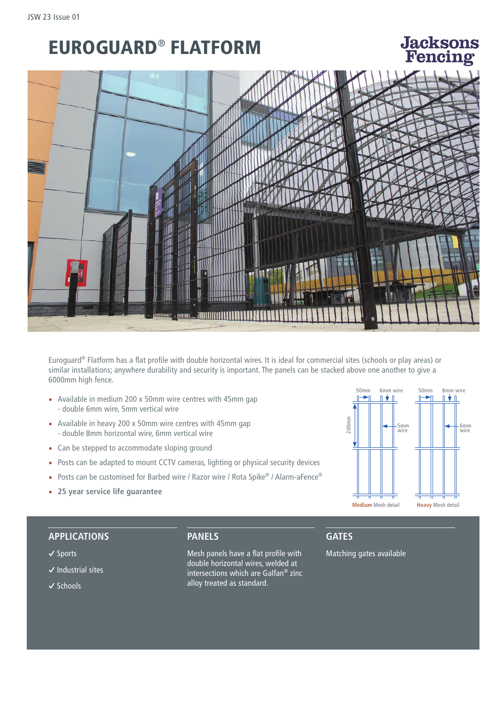# EUROGUARD® FLATFORM

# **Jacksons** Fonoin c



Euroguard® Flatform has a flat profile with double horizontal wires. It is ideal for commercial sites (schools or play areas) or similar installations; anywhere durability and security is important. The panels can be stacked above one another to give a 6000mm high fence.

- Available in medium 200 x 50mm wire centres with 45mm gap - double 6mm wire, 5mm vertical wire
- Available in heavy 200 x 50mm wire centres with 45mm gap - double 8mm horizontal wire, 6mm vertical wire
- Can be stepped to accommodate sloping ground
- Posts can be adapted to mount CCTV cameras, lighting or physical security devices
- Posts can be customised for Barbed wire / Razor wire / Rota Spike® / Alarm-aFence®
- **25 year service life guarantee**



#### **APPLICATIONS**

#### **�** Sports

- **�** Industrial sites
- **�** Schools

**PANELS** 

Mesh panels have a flat profile with double horizontal wires, welded at intersections which are Galfan® zinc alloy treated as standard.

#### **GATES**

Matching gates available